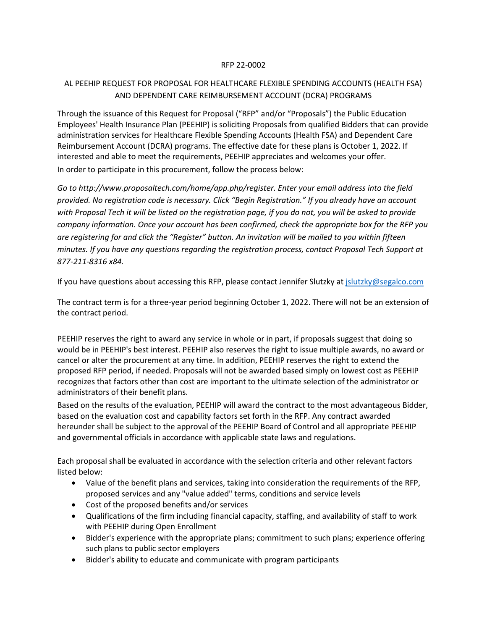## RFP 22-0002

## AL PEEHIP REQUEST FOR PROPOSAL FOR HEALTHCARE FLEXIBLE SPENDING ACCOUNTS (HEALTH FSA) AND DEPENDENT CARE REIMBURSEMENT ACCOUNT (DCRA) PROGRAMS

Through the issuance of this Request for Proposal ("RFP" and/or "Proposals") the Public Education Employees' Health Insurance Plan (PEEHIP) is soliciting Proposals from qualified Bidders that can provide administration services for Healthcare Flexible Spending Accounts (Health FSA) and Dependent Care Reimbursement Account (DCRA) programs. The effective date for these plans is October 1, 2022. If interested and able to meet the requirements, PEEHIP appreciates and welcomes your offer. In order to participate in this procurement, follow the process below:

*Go to http://www.proposaltech.com/home/app.php/register. Enter your email address into the field provided. No registration code is necessary. Click "Begin Registration." If you already have an account with Proposal Tech it will be listed on the registration page, if you do not, you will be asked to provide company information. Once your account has been confirmed, check the appropriate box for the RFP you are registering for and click the "Register" button. An invitation will be mailed to you within fifteen minutes. If you have any questions regarding the registration process, contact Proposal Tech Support at 877-211-8316 x84.*

If you have questions about accessing this RFP, please contact Jennifer Slutzky a[t jslutzky@segalco.com](mailto:jslutzky@segalco.com)

The contract term is for a three-year period beginning October 1, 2022. There will not be an extension of the contract period.

PEEHIP reserves the right to award any service in whole or in part, if proposals suggest that doing so would be in PEEHIP's best interest. PEEHIP also reserves the right to issue multiple awards, no award or cancel or alter the procurement at any time. In addition, PEEHIP reserves the right to extend the proposed RFP period, if needed. Proposals will not be awarded based simply on lowest cost as PEEHIP recognizes that factors other than cost are important to the ultimate selection of the administrator or administrators of their benefit plans.

Based on the results of the evaluation, PEEHIP will award the contract to the most advantageous Bidder, based on the evaluation cost and capability factors set forth in the RFP. Any contract awarded hereunder shall be subject to the approval of the PEEHIP Board of Control and all appropriate PEEHIP and governmental officials in accordance with applicable state laws and regulations.

Each proposal shall be evaluated in accordance with the selection criteria and other relevant factors listed below:

- Value of the benefit plans and services, taking into consideration the requirements of the RFP, proposed services and any "value added" terms, conditions and service levels
- Cost of the proposed benefits and/or services
- Qualifications of the firm including financial capacity, staffing, and availability of staff to work with PEEHIP during Open Enrollment
- Bidder's experience with the appropriate plans; commitment to such plans; experience offering such plans to public sector employers
- Bidder's ability to educate and communicate with program participants